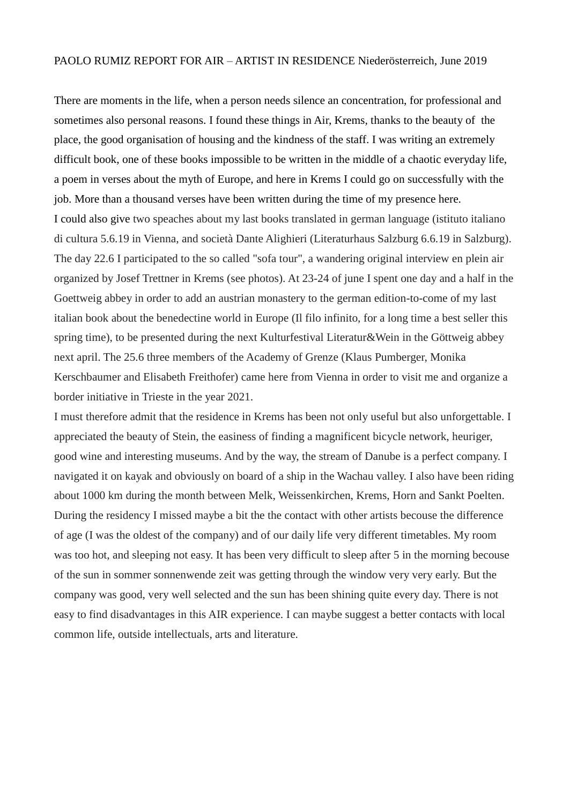## PAOLO RUMIZ REPORT FOR AIR – ARTIST IN RESIDENCE Niederösterreich, June 2019

There are moments in the life, when a person needs silence an concentration, for professional and sometimes also personal reasons. I found these things in Air, Krems, thanks to the beauty of the place, the good organisation of housing and the kindness of the staff. I was writing an extremely difficult book, one of these books impossible to be written in the middle of a chaotic everyday life, a poem in verses about the myth of Europe, and here in Krems I could go on successfully with the job. More than a thousand verses have been written during the time of my presence here. I could also give two speaches about my last books translated in german language (istituto italiano di cultura 5.6.19 in Vienna, and società Dante Alighieri (Literaturhaus Salzburg 6.6.19 in Salzburg). The day 22.6 I participated to the so called "sofa tour", a wandering original interview en plein air organized by Josef Trettner in Krems (see photos). At 23-24 of june I spent one day and a half in the Goettweig abbey in order to add an austrian monastery to the german edition-to-come of my last italian book about the benedectine world in Europe (Il filo infinito, for a long time a best seller this spring time), to be presented during the next Kulturfestival Literatur&Wein in the Göttweig abbey next april. The 25.6 three members of the Academy of Grenze (Klaus Pumberger, Monika Kerschbaumer and Elisabeth Freithofer) came here from Vienna in order to visit me and organize a border initiative in Trieste in the year 2021.

I must therefore admit that the residence in Krems has been not only useful but also unforgettable. I appreciated the beauty of Stein, the easiness of finding a magnificent bicycle network, heuriger, good wine and interesting museums. And by the way, the stream of Danube is a perfect company. I navigated it on kayak and obviously on board of a ship in the Wachau valley. I also have been riding about 1000 km during the month between Melk, Weissenkirchen, Krems, Horn and Sankt Poelten. During the residency I missed maybe a bit the the contact with other artists becouse the difference of age (I was the oldest of the company) and of our daily life very different timetables. My room was too hot, and sleeping not easy. It has been very difficult to sleep after 5 in the morning becouse of the sun in sommer sonnenwende zeit was getting through the window very very early. But the company was good, very well selected and the sun has been shining quite every day. There is not easy to find disadvantages in this AIR experience. I can maybe suggest a better contacts with local common life, outside intellectuals, arts and literature.